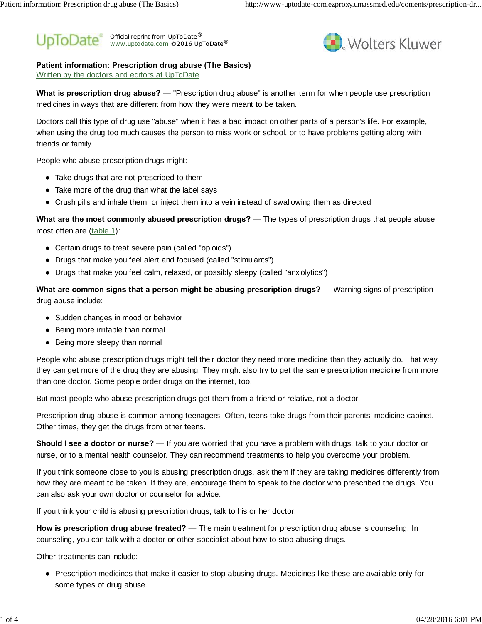#### Official reprint from UpToDate® www.uptodate.com ©2016 UpToDate<sup>®</sup> ® ®



### **Patient information: Prescription drug abuse (The Basics)**

Written by the doctors and editors at UpToDate

**What is prescription drug abuse?** — "Prescription drug abuse" is another term for when people use prescription medicines in ways that are different from how they were meant to be taken.

Doctors call this type of drug use "abuse" when it has a bad impact on other parts of a person's life. For example, when using the drug too much causes the person to miss work or school, or to have problems getting along with friends or family.

People who abuse prescription drugs might:

Take drugs that are not prescribed to them

Take more of the drug than what the label says

Crush pills and inhale them, or inject them into a vein instead of swallowing them as directed

**What are the most commonly abused prescription drugs?** — The types of prescription drugs that people abuse most often are (table 1):

Certain drugs to treat severe pain (called "opioids")

Drugs that make you feel alert and focused (called "stimulants")

Drugs that make you feel calm, relaxed, or possibly sleepy (called "anxiolytics")

**What are common signs that a person might be abusing prescription drugs?** — Warning signs of prescription drug abuse include:

Sudden changes in mood or behavior

Being more irritable than normal

Being more sleepy than normal

People who abuse prescription drugs might tell their doctor they need more medicine than they actually do. That way, they can get more of the drug they are abusing. They might also try to get the same prescription medicine from more than one doctor. Some people order drugs on the internet, too.

But most people who abuse prescription drugs get them from a friend or relative, not a doctor.

Prescription drug abuse is common among teenagers. Often, teens take drugs from their parents' medicine cabinet. Other times, they get the drugs from other teens.

**Should I see a doctor or nurse?** — If you are worried that you have a problem with drugs, talk to your doctor or nurse, or to a mental health counselor. They can recommend treatments to help you overcome your problem.

If you think someone close to you is abusing prescription drugs, ask them if they are taking medicines differently from how they are meant to be taken. If they are, encourage them to speak to the doctor who prescribed the drugs. You can also ask your own doctor or counselor for advice.

If you think your child is abusing prescription drugs, talk to his or her doctor.

**How is prescription drug abuse treated?** — The main treatment for prescription drug abuse is counseling. In counseling, you can talk with a doctor or other specialist about how to stop abusing drugs.

Other treatments can include:

Prescription medicines that make it easier to stop abusing drugs. Medicines like these are available only for some types of drug abuse.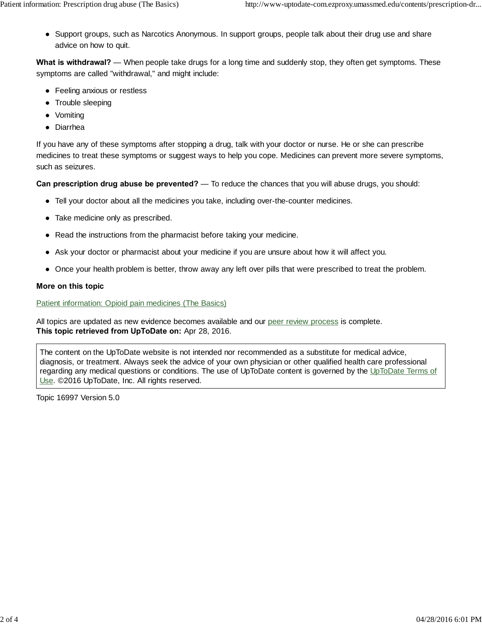Support groups, such as Narcotics Anonymous. In support groups, people talk about their drug use and share advice on how to quit.

**What is withdrawal?** — When people take drugs for a long time and suddenly stop, they often get symptoms. These symptoms are called "withdrawal," and might include:

Feeling anxious or restless Trouble sleeping Vomiting Diarrhea

If you have any of these symptoms after stopping a drug, talk with your doctor or nurse. He or she can prescribe medicines to treat these symptoms or suggest ways to help you cope. Medicines can prevent more severe symptoms, such as seizures.

**Can prescription drug abuse be prevented?** — To reduce the chances that you will abuse drugs, you should:

Tell your doctor about all the medicines you take, including over-the-counter medicines.

Take medicine only as prescribed.

Read the instructions from the pharmacist before taking your medicine.

Ask your doctor or pharmacist about your medicine if you are unsure about how it will affect you.

Once your health problem is better, throw away any left over pills that were prescribed to treat the problem.

### **More on this topic**

### Patient information: Opioid pain medicines (The Basics)

All topics are updated as new evidence becomes available and our peer review process is complete. **This topic retrieved from UpToDate on:** Apr 28, 2016.

The content on the UpToDate website is not intended nor recommended as a substitute for medical advice, diagnosis, or treatment. Always seek the advice of your own physician or other qualified health care professional regarding any medical questions or conditions. The use of UpToDate content is governed by the UpToDate Terms of Use. ©2016 UpToDate, Inc. All rights reserved.

Topic 16997 Version 5.0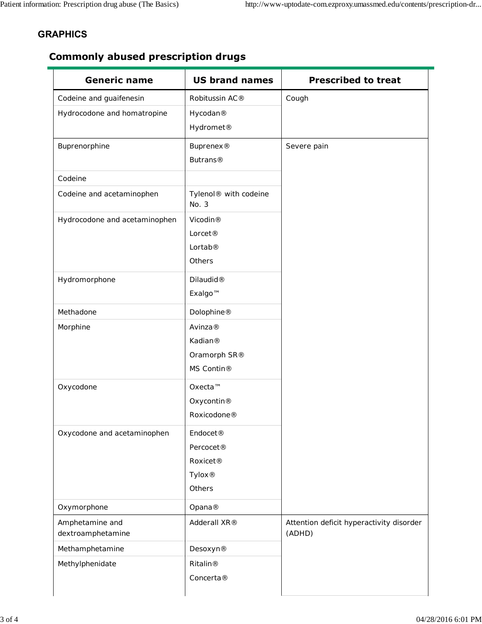## **GRAPHICS**

# **Commonly abused prescription drugs**

| <b>Generic name</b>                  | <b>US brand names</b>                      | <b>Prescribed to treat</b>                         |
|--------------------------------------|--------------------------------------------|----------------------------------------------------|
| Codeine and guaifenesin              | Robitussin AC®                             | Cough                                              |
| Hydrocodone and homatropine          | Hycodan®                                   |                                                    |
|                                      | Hydromet <sup>®</sup>                      |                                                    |
| Buprenorphine                        | Buprenex <sup>®</sup>                      | Severe pain                                        |
|                                      | <b>Butrans®</b>                            |                                                    |
| Codeine                              |                                            |                                                    |
| Codeine and acetaminophen            | Tylenol <sup>®</sup> with codeine<br>No. 3 |                                                    |
| Hydrocodone and acetaminophen        | Vicodin®                                   |                                                    |
|                                      | Lorcet <sup>®</sup>                        |                                                    |
|                                      | Lortab®                                    |                                                    |
|                                      | Others                                     |                                                    |
| Hydromorphone                        | Dilaudid <sup>®</sup>                      |                                                    |
|                                      | Exalgo™                                    |                                                    |
| Methadone                            | Dolophine®                                 |                                                    |
| Morphine                             | Avinza®                                    |                                                    |
|                                      | Kadian®                                    |                                                    |
|                                      | Oramorph SR®                               |                                                    |
|                                      | MS Contin®                                 |                                                    |
| Oxycodone                            | Oxecta™                                    |                                                    |
|                                      | Oxycontin <sup>®</sup>                     |                                                    |
|                                      | Roxicodone®                                |                                                    |
| Oxycodone and acetaminophen          | Endocet <sup>®</sup>                       |                                                    |
|                                      | Percocet <sup>®</sup>                      |                                                    |
|                                      | Roxicet <sup>®</sup>                       |                                                    |
|                                      | Tylox <sup>®</sup>                         |                                                    |
|                                      | Others                                     |                                                    |
| Oxymorphone                          | Opana®                                     |                                                    |
| Amphetamine and<br>dextroamphetamine | Adderall XR®                               | Attention deficit hyperactivity disorder<br>(ADHD) |
| Methamphetamine                      | Desoxyn®                                   |                                                    |
| Methylphenidate                      | <b>Ritalin®</b>                            |                                                    |
|                                      | Concerta@                                  |                                                    |
|                                      |                                            |                                                    |